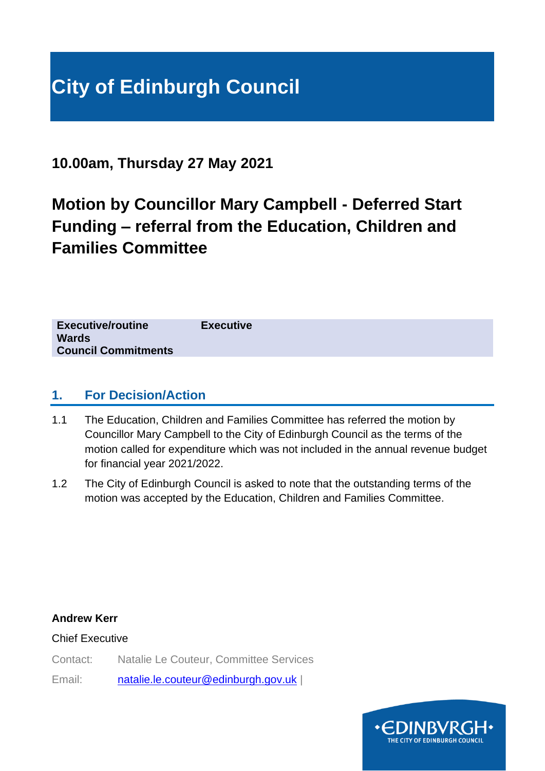**10.00am, Thursday 27 May 2021**

# **Motion by Councillor Mary Campbell - Deferred Start Funding – referral from the Education, Children and Families Committee**

| <b>Executive</b> | <b>Executive/routine</b>   |
|------------------|----------------------------|
|                  | <b>Wards</b>               |
|                  | <b>Council Commitments</b> |
|                  |                            |

## **1. For Decision/Action**

- 1.1 The Education, Children and Families Committee has referred the motion by Councillor Mary Campbell to the City of Edinburgh Council as the terms of the motion called for expenditure which was not included in the annual revenue budget for financial year 2021/2022.
- 1.2 The City of Edinburgh Council is asked to note that the outstanding terms of the motion was accepted by the Education, Children and Families Committee.

**Andrew Kerr**

Chief Executive

Contact: Natalie Le Couteur, Committee Services

Email: [natalie.le.couteur@edinburgh.gov.uk](mailto:natalie.le.couteur@edinburgh.gov.uk) |

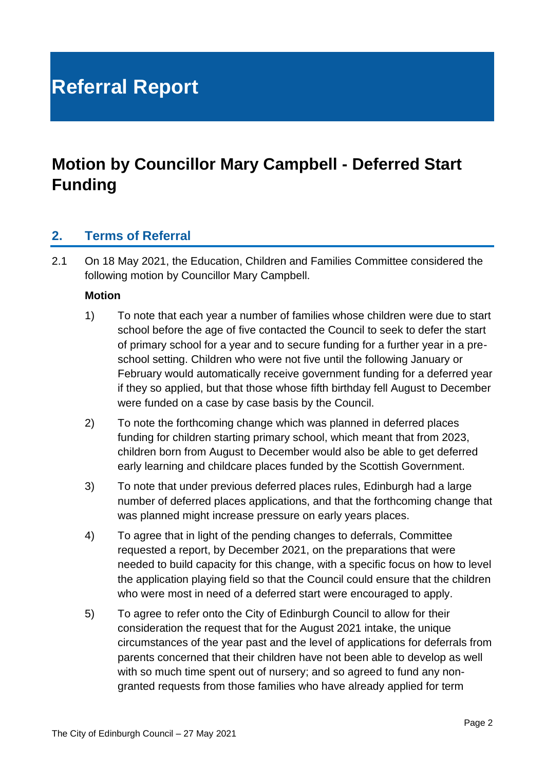# **Referral Report**

## **Motion by Councillor Mary Campbell - Deferred Start Funding**

### **2. Terms of Referral**

2.1 On 18 May 2021, the Education, Children and Families Committee considered the following motion by Councillor Mary Campbell.

### **Motion**

- 1) To note that each year a number of families whose children were due to start school before the age of five contacted the Council to seek to defer the start of primary school for a year and to secure funding for a further year in a preschool setting. Children who were not five until the following January or February would automatically receive government funding for a deferred year if they so applied, but that those whose fifth birthday fell August to December were funded on a case by case basis by the Council.
- 2) To note the forthcoming change which was planned in deferred places funding for children starting primary school, which meant that from 2023, children born from August to December would also be able to get deferred early learning and childcare places funded by the Scottish Government.
- 3) To note that under previous deferred places rules, Edinburgh had a large number of deferred places applications, and that the forthcoming change that was planned might increase pressure on early years places.
- 4) To agree that in light of the pending changes to deferrals, Committee requested a report, by December 2021, on the preparations that were needed to build capacity for this change, with a specific focus on how to level the application playing field so that the Council could ensure that the children who were most in need of a deferred start were encouraged to apply.
- 5) To agree to refer onto the City of Edinburgh Council to allow for their consideration the request that for the August 2021 intake, the unique circumstances of the year past and the level of applications for deferrals from parents concerned that their children have not been able to develop as well with so much time spent out of nursery; and so agreed to fund any nongranted requests from those families who have already applied for term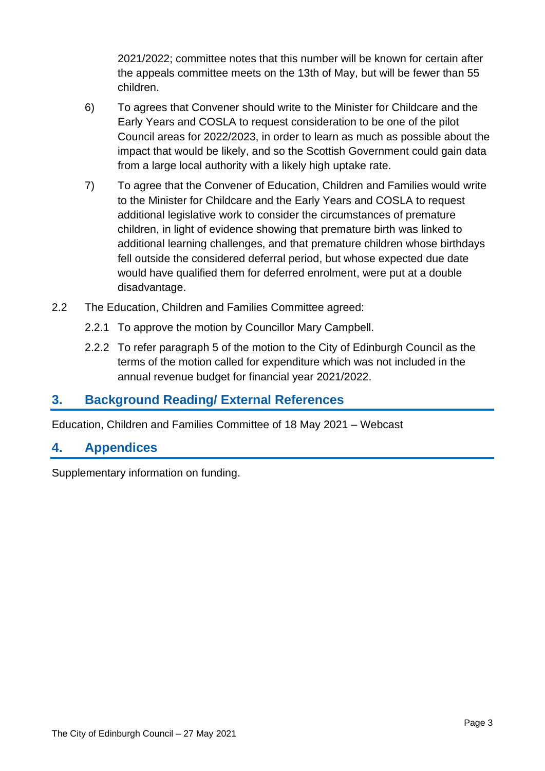2021/2022; committee notes that this number will be known for certain after the appeals committee meets on the 13th of May, but will be fewer than 55 children.

- 6) To agrees that Convener should write to the Minister for Childcare and the Early Years and COSLA to request consideration to be one of the pilot Council areas for 2022/2023, in order to learn as much as possible about the impact that would be likely, and so the Scottish Government could gain data from a large local authority with a likely high uptake rate.
- 7) To agree that the Convener of Education, Children and Families would write to the Minister for Childcare and the Early Years and COSLA to request additional legislative work to consider the circumstances of premature children, in light of evidence showing that premature birth was linked to additional learning challenges, and that premature children whose birthdays fell outside the considered deferral period, but whose expected due date would have qualified them for deferred enrolment, were put at a double disadvantage.
- 2.2 The Education, Children and Families Committee agreed:
	- 2.2.1 To approve the motion by Councillor Mary Campbell.
	- 2.2.2 To refer paragraph 5 of the motion to the City of Edinburgh Council as the terms of the motion called for expenditure which was not included in the annual revenue budget for financial year 2021/2022.

### **3. Background Reading/ External References**

Education, Children and Families Committee of 18 May 2021 – Webcast

### **4. Appendices**

Supplementary information on funding.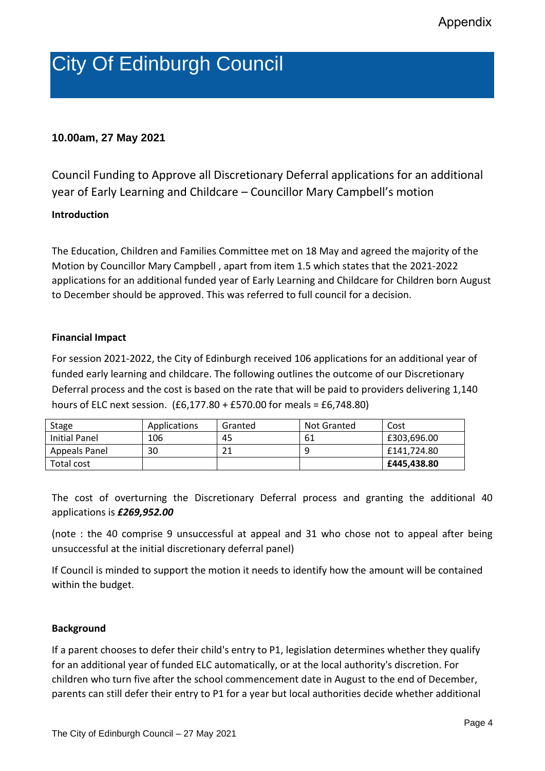# City Of Edinburgh Council

### **10.00am, 27 May 2021**

Council Funding to Approve all Discretionary Deferral applications for an additional year of Early Learning and Childcare – Councillor Mary Campbell's motion

### **Introduction**

The Education, Children and Families Committee met on 18 May and agreed the majority of the Motion by Councillor Mary Campbell , apart from item 1.5 which states that the 2021-2022 applications for an additional funded year of Early Learning and Childcare for Children born August to December should be approved. This was referred to full council for a decision.

#### **Financial Impact**

For session 2021-2022, the City of Edinburgh received 106 applications for an additional year of funded early learning and childcare. The following outlines the outcome of our Discretionary Deferral process and the cost is based on the rate that will be paid to providers delivering 1,140 hours of ELC next session. (£6,177.80 + £570.00 for meals = £6,748.80)

| Stage         | Applications | Granted | Not Granted | Cost        |
|---------------|--------------|---------|-------------|-------------|
| Initial Panel | 106          | 45      | -61         | £303,696.00 |
| Appeals Panel | 30           | า 1     | 9           | £141.724.80 |
| Total cost    |              |         |             | £445,438.80 |

The cost of overturning the Discretionary Deferral process and granting the additional 40 applications is *£269,952.00*

(note : the 40 comprise 9 unsuccessful at appeal and 31 who chose not to appeal after being unsuccessful at the initial discretionary deferral panel)

If Council is minded to support the motion it needs to identify how the amount will be contained within the budget.

### **Background**

If a parent chooses to defer their child's entry to P1, legislation determines whether they qualify for an additional year of funded ELC automatically, or at the local authority's discretion. For children who turn five after the school commencement date in August to the end of December, parents can still defer their entry to P1 for a year but local authorities decide whether additional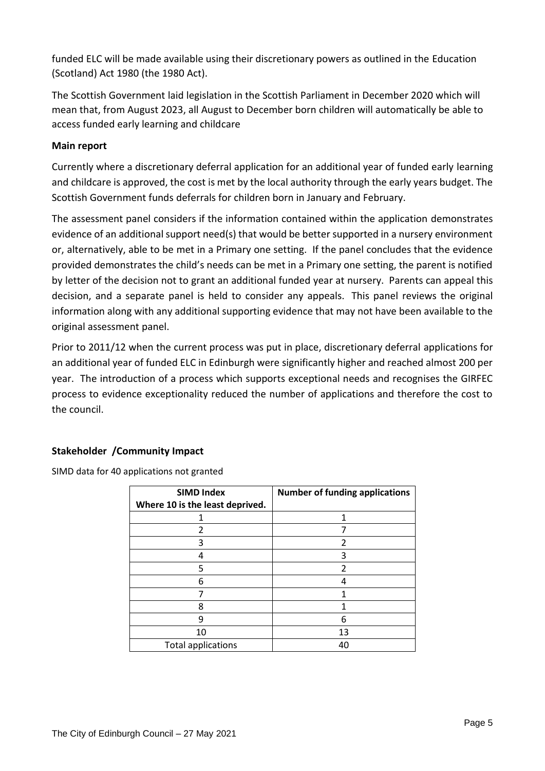funded ELC will be made available using their discretionary powers as outlined in the Education (Scotland) Act 1980 (the 1980 Act).

The Scottish Government laid legislation in the Scottish Parliament in December 2020 which will mean that, from August 2023, all August to December born children will automatically be able to access funded early learning and childcare

### **Main report**

Currently where a discretionary deferral application for an additional year of funded early learning and childcare is approved, the cost is met by the local authority through the early years budget. The Scottish Government funds deferrals for children born in January and February.

The assessment panel considers if the information contained within the application demonstrates evidence of an additional support need(s) that would be better supported in a nursery environment or, alternatively, able to be met in a Primary one setting. If the panel concludes that the evidence provided demonstrates the child's needs can be met in a Primary one setting, the parent is notified by letter of the decision not to grant an additional funded year at nursery. Parents can appeal this decision, and a separate panel is held to consider any appeals. This panel reviews the original information along with any additional supporting evidence that may not have been available to the original assessment panel.

Prior to 2011/12 when the current process was put in place, discretionary deferral applications for an additional year of funded ELC in Edinburgh were significantly higher and reached almost 200 per year. The introduction of a process which supports exceptional needs and recognises the GIRFEC process to evidence exceptionality reduced the number of applications and therefore the cost to the council.

### **Stakeholder /Community Impact**

SIMD data for 40 applications not granted

| <b>SIMD Index</b>               | <b>Number of funding applications</b> |
|---------------------------------|---------------------------------------|
| Where 10 is the least deprived. |                                       |
|                                 |                                       |
| 2                               |                                       |
| 3                               | $\overline{\mathcal{L}}$              |
|                                 | 3                                     |
| 5                               | $\mathfrak{p}$                        |
| 6                               |                                       |
|                                 |                                       |
| 8                               |                                       |
| q                               | 6                                     |
| 10                              | 13                                    |
| <b>Total applications</b>       | 40                                    |